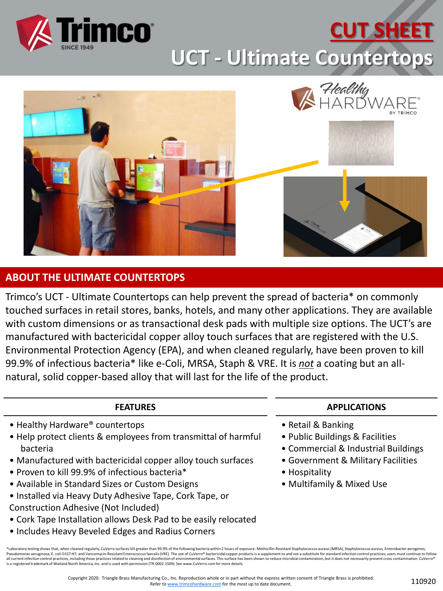

# **CUT SHEET**

**UCT - Ultimate Countertops**



### **ABOUT THE ULTIMATE COUNTERTOPS**

Trimco's UCT - Ultimate Countertops can help prevent the spread of bacteria\* on commonly touched surfaces in retail stores, banks, hotels, and many other applications. They are available with custom dimensions or as transactional desk pads with multiple size options. The UCT's are manufactured with bactericidal copper alloy touch surfaces that are registered with the U.S. Environmental Protection Agency (EPA), and when cleaned regularly, have been proven to kill 99.9% of infectious bacteria\* like e-Coli, MRSA, Staph & VRE. It is *not* a coating but an allnatural, solid copper-based alloy that will last for the life of the product.

#### **FEATURES**

- Healthy Hardware® countertops
- Help protect clients & employees from transmittal of harmful bacteria
- Manufactured with bactericidal copper alloy touch surfaces
- Proven to kill 99.9% of infectious bacteria\*
- Available in Standard Sizes or Custom Designs
- Installed via Heavy Duty Adhesive Tape, Cork Tape, or Construction Adhesive (Not Included)
- Cork Tape Installation allows Desk Pad to be easily relocated
- Includes Heavy Beveled Edges and Radius Corners

#### **APPLICATIONS**

- Retail & Banking
- Public Buildings & Facilities
- Commercial & Industrial Buildings
- Government & Military Facilities
- Hospitality
- Multifamily & Mixed Use

<sup>\*</sup>Laboratory testing shows that, when cleaned regularly, CuVerro surfaces kill greater than 99.9% of the following bacteria within 2 hours of exposure: Methicillin-Resistant Staphylococcus aureus (MRSA), Staphylococcus aure Pseudomonas aeruginosa, E. coli O157:H7, and Vancomycin-Resistant Enterococcus faecalis (VRE). The use of CuVerro® bactericidal copper products is a supplement to and not a substitute for standard infection control practic all current infection control practices, including those practices related to cleaning and disinfection of environmental surfaces. This surface has been shown to reduce microbial contamination, but it does not necessarily is a registered trademark of Wieland North America, Inc. and is used with permission (TR-0002-1509). See www.CuVerro.com for more details.